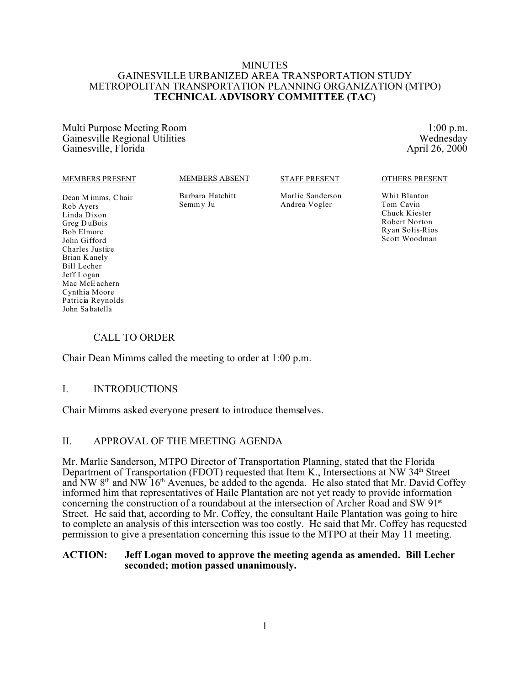#### MINUTES GAINESVILLE URBANIZED AREA TRANSPORTATION STUDY METROPOLITAN TRANSPORTATION PLANNING ORGANIZATION (MTPO) **TECHNICAL ADVISORY COMMITTEE (TAC)**

Multi Purpose Meeting Room 1:00 p.m.<br>
Gainesville Regional Utilities Wednesday Gainesville Regional Utilities Wednesday<br>
Gainesville Florida April 26, 2000 Gainesville, Florida

#### MEMBERS PRESENT

MEMBERS ABSENT

#### STAFF PRESENT

Dean M imms, C hair Rob Ayers Linda Dixon Greg D uBois Bob Elmore John Gifford Charles Justice Brian K anely Bill Lecher Jeff Logan Mac McE achern Cynthia Moore Patricia Reynolds John Sa batella

Barbara Hatchitt Semm y Ju

Marlie Sanderson Andrea Vogler

OTHERS PRESENT

Whit Blanton Tom Cavin Chuck Kiester Robert Norton Ryan Solis-Rios Scott Woodman

### CALL TO ORDER

Chair Dean Mimms called the meeting to order at 1:00 p.m.

### I. INTRODUCTIONS

Chair Mimms asked everyone present to introduce themselves.

### II. APPROVAL OF THE MEETING AGENDA

Mr. Marlie Sanderson, MTPO Director of Transportation Planning, stated that the Florida Department of Transportation (FDOT) requested that Item K., Intersections at NW 34<sup>th</sup> Street and NW  $8<sup>th</sup>$  and NW  $16<sup>th</sup>$  Avenues, be added to the agenda. He also stated that Mr. David Coffey informed him that representatives of Haile Plantation are not yet ready to provide information concerning the construction of a roundabout at the intersection of Archer Road and SW 91st Street. He said that, according to Mr. Coffey, the consultant Haile Plantation was going to hire to complete an analysis of this intersection was too costly. He said that Mr. Coffey has requested permission to give a presentation concerning this issue to the MTPO at their May 11 meeting.

#### **ACTION: Jeff Logan moved to approve the meeting agenda as amended. Bill Lecher seconded; motion passed unanimously.**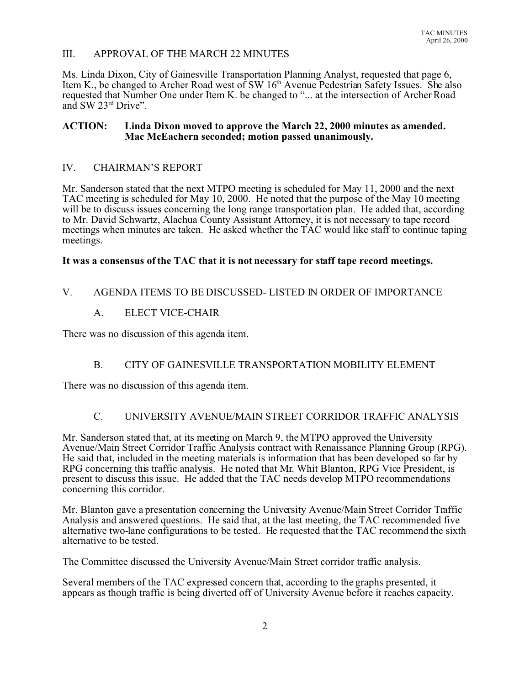## III. APPROVAL OF THE MARCH 22 MINUTES

Ms. Linda Dixon, City of Gainesville Transportation Planning Analyst, requested that page 6, Item K., be changed to Archer Road west of SW  $16<sup>th</sup>$  Avenue Pedestrian Safety Issues. She also requested that Number One under Item K. be changed to "... at the intersection of Archer Road and SW 23rd Drive".

### **ACTION: Linda Dixon moved to approve the March 22, 2000 minutes as amended. Mac McEachern seconded; motion passed unanimously.**

### IV. CHAIRMAN'S REPORT

Mr. Sanderson stated that the next MTPO meeting is scheduled for May 11, 2000 and the next TAC meeting is scheduled for May 10, 2000. He noted that the purpose of the May 10 meeting will be to discuss issues concerning the long range transportation plan. He added that, according to Mr. David Schwartz, Alachua County Assistant Attorney, it is not necessary to tape record meetings when minutes are taken. He asked whether the TAC would like staff to continue taping meetings.

### **It was a consensus of the TAC that it is not necessary for staff tape record meetings.**

## V. AGENDA ITEMS TO BE DISCUSSED- LISTED IN ORDER OF IMPORTANCE

### A. ELECT VICE-CHAIR

There was no discussion of this agenda item.

# B. CITY OF GAINESVILLE TRANSPORTATION MOBILITY ELEMENT

There was no discussion of this agenda item.

# C. UNIVERSITY AVENUE/MAIN STREET CORRIDOR TRAFFIC ANALYSIS

Mr. Sanderson stated that, at its meeting on March 9, the MTPO approved the University Avenue/Main Street Corridor Traffic Analysis contract with Renaissance Planning Group (RPG). He said that, included in the meeting materials is information that has been developed so far by RPG concerning this traffic analysis. He noted that Mr. Whit Blanton, RPG Vice President, is present to discuss this issue. He added that the TAC needs develop MTPO recommendations concerning this corridor.

Mr. Blanton gave a presentation concerning the University Avenue/Main Street Corridor Traffic Analysis and answered questions. He said that, at the last meeting, the TAC recommended five alternative two-lane configurations to be tested. He requested that the TAC recommend the sixth alternative to be tested.

The Committee discussed the University Avenue/Main Street corridor traffic analysis.

Several members of the TAC expressed concern that, according to the graphs presented, it appears as though traffic is being diverted off of University Avenue before it reaches capacity.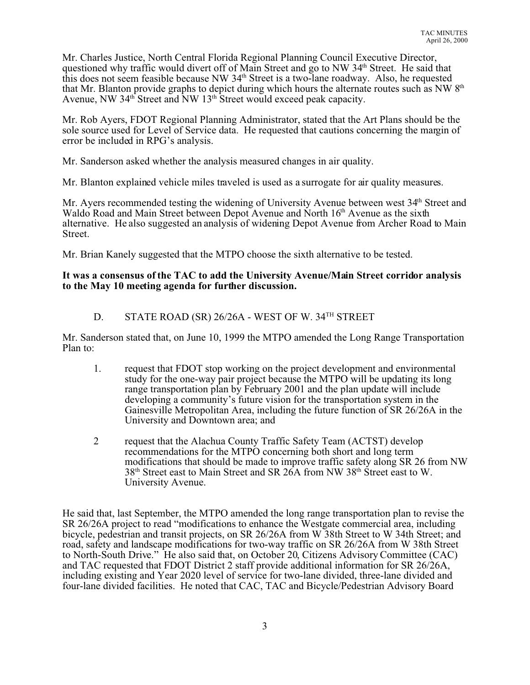Mr. Charles Justice, North Central Florida Regional Planning Council Executive Director, questioned why traffic would divert off of Main Street and go to NW 34<sup>th</sup> Street. He said that this does not seem feasible because NW 34th Street is a two-lane roadway. Also, he requested that Mr. Blanton provide graphs to depict during which hours the alternate routes such as NW 8th Avenue, NW 34<sup>th</sup> Street and NW 13<sup>th</sup> Street would exceed peak capacity.

Mr. Rob Ayers, FDOT Regional Planning Administrator, stated that the Art Plans should be the sole source used for Level of Service data. He requested that cautions concerning the margin of error be included in RPG's analysis.

Mr. Sanderson asked whether the analysis measured changes in air quality.

Mr. Blanton explained vehicle miles traveled is used as a surrogate for air quality measures.

Mr. Ayers recommended testing the widening of University Avenue between west 34<sup>th</sup> Street and Waldo Road and Main Street between Depot Avenue and North 16<sup>th</sup> Avenue as the sixth alternative. He also suggested an analysis of widening Depot Avenue from Archer Road to Main Street.

Mr. Brian Kanely suggested that the MTPO choose the sixth alternative to be tested.

### **It was a consensus of the TAC to add the University Avenue/Main Street corridor analysis to the May 10 meeting agenda for further discussion.**

### D. STATE ROAD (SR) 26/26A - WEST OF W. 34TH STREET

Mr. Sanderson stated that, on June 10, 1999 the MTPO amended the Long Range Transportation Plan to:

- 1. request that FDOT stop working on the project development and environmental study for the one-way pair project because the MTPO will be updating its long range transportation plan by February 2001 and the plan update will include developing a community's future vision for the transportation system in the Gainesville Metropolitan Area, including the future function of SR 26/26A in the University and Downtown area; and
- 2 request that the Alachua County Traffic Safety Team (ACTST) develop recommendations for the MTPO concerning both short and long term modifications that should be made to improve traffic safety along SR 26 from NW 38th Street east to Main Street and SR 26A from NW 38th Street east to W. University Avenue.

He said that, last September, the MTPO amended the long range transportation plan to revise the SR 26/26A project to read "modifications to enhance the Westgate commercial area, including bicycle, pedestrian and transit projects, on SR 26/26A from W 38th Street to W 34th Street; and road, safety and landscape modifications for two-way traffic on SR 26/26A from W 38th Street to North-South Drive." He also said that, on October 20, Citizens Advisory Committee (CAC) and TAC requested that FDOT District 2 staff provide additional information for SR 26/26A, including existing and Year 2020 level of service for two-lane divided, three-lane divided and four-lane divided facilities. He noted that CAC, TAC and Bicycle/Pedestrian Advisory Board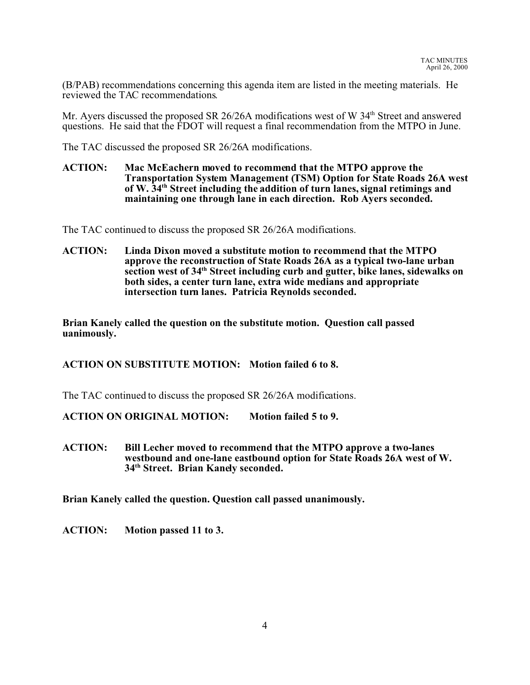(B/PAB) recommendations concerning this agenda item are listed in the meeting materials. He reviewed the TAC recommendations.

Mr. Ayers discussed the proposed SR 26/26A modifications west of W 34<sup>th</sup> Street and answered questions. He said that the FDOT will request a final recommendation from the MTPO in June.

The TAC discussed the proposed SR 26/26A modifications.

#### **ACTION: Mac McEachern moved to recommend that the MTPO approve the Transportation System Management (TSM) Option for State Roads 26A west of W. 34th Street including the addition of turn lanes, signal retimings and maintaining one through lane in each direction. Rob Ayers seconded.**

The TAC continued to discuss the proposed SR 26/26A modifications.

**ACTION: Linda Dixon moved a substitute motion to recommend that the MTPO approve the reconstruction of State Roads 26A as a typical two-lane urban section west of 34th Street including curb and gutter, bike lanes, sidewalks on both sides, a center turn lane, extra wide medians and appropriate intersection turn lanes. Patricia Reynolds seconded.**

**Brian Kanely called the question on the substitute motion. Question call passed uanimously.**

**ACTION ON SUBSTITUTE MOTION: Motion failed 6 to 8.**

The TAC continued to discuss the proposed SR 26/26A modifications.

**ACTION ON ORIGINAL MOTION: Motion failed 5 to 9.**

**ACTION: Bill Lecher moved to recommend that the MTPO approve a two-lanes westbound and one-lane eastbound option for State Roads 26A west of W. 34th Street. Brian Kanely seconded.**

**Brian Kanely called the question. Question call passed unanimously.**

**ACTION: Motion passed 11 to 3.**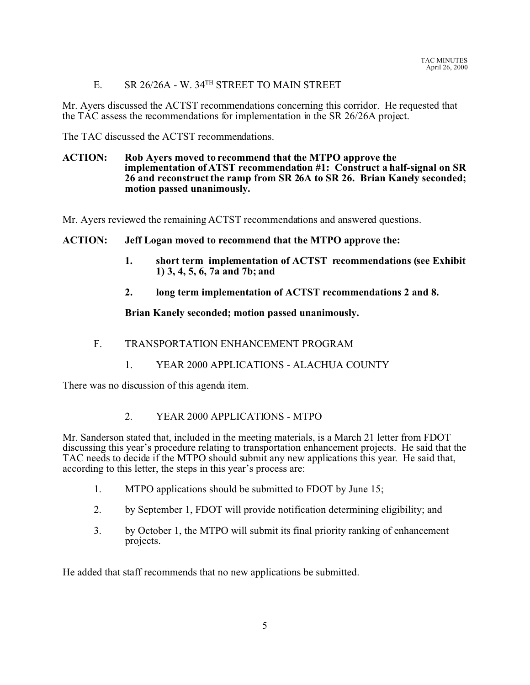E. SR 26/26A - W. 34TH STREET TO MAIN STREET

Mr. Ayers discussed the ACTST recommendations concerning this corridor. He requested that the TAC assess the recommendations for implementation in the SR 26/26A project.

The TAC discussed the ACTST recommendations.

#### **ACTION: Rob Ayers moved to recommend that the MTPO approve the implementation of ATST recommendation #1: Construct a half-signal on SR 26 and reconstruct the ramp from SR 26A to SR 26. Brian Kanely seconded; motion passed unanimously.**

Mr. Ayers reviewed the remaining ACTST recommendations and answered questions.

### **ACTION: Jeff Logan moved to recommend that the MTPO approve the:**

- **1. short term implementation of ACTST recommendations (see Exhibit 1) 3, 4, 5, 6, 7a and 7b; and**
- **2. long term implementation of ACTST recommendations 2 and 8.**

#### **Brian Kanely seconded; motion passed unanimously.**

- F. TRANSPORTATION ENHANCEMENT PROGRAM
	- 1. YEAR 2000 APPLICATIONS ALACHUA COUNTY

There was no discussion of this agenda item.

2. YEAR 2000 APPLICATIONS - MTPO

Mr. Sanderson stated that, included in the meeting materials, is a March 21 letter from FDOT discussing this year's procedure relating to transportation enhancement projects. He said that the TAC needs to decide if the MTPO should submit any new applications this year. He said that, according to this letter, the steps in this year's process are:

- 1. MTPO applications should be submitted to FDOT by June 15;
- 2. by September 1, FDOT will provide notification determining eligibility; and
- 3. by October 1, the MTPO will submit its final priority ranking of enhancement projects.

He added that staff recommends that no new applications be submitted.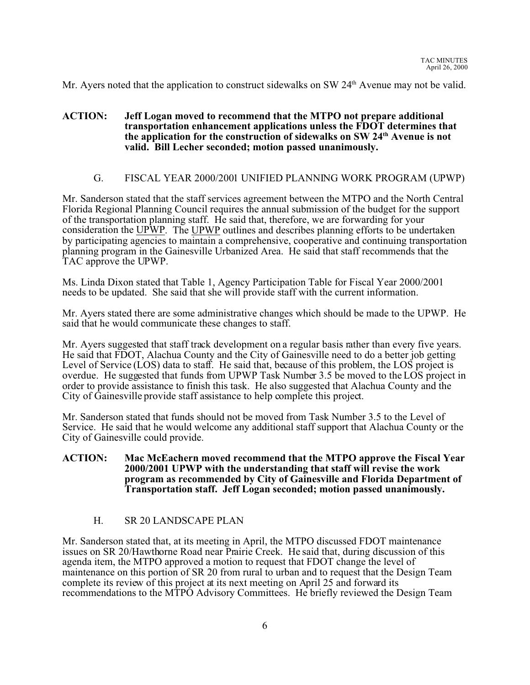Mr. Ayers noted that the application to construct sidewalks on SW 24<sup>th</sup> Avenue may not be valid.

### **ACTION: Jeff Logan moved to recommend that the MTPO not prepare additional transportation enhancement applications unless the FDOT determines that the application for the construction of sidewalks on SW 24th Avenue is not valid. Bill Lecher seconded; motion passed unanimously.**

### G. FISCAL YEAR 2000/2001 UNIFIED PLANNING WORK PROGRAM (UPWP)

Mr. Sanderson stated that the staff services agreement between the MTPO and the North Central Florida Regional Planning Council requires the annual submission of the budget for the support of the transportation planning staff. He said that, therefore, we are forwarding for your consideration the UPWP. The UPWP outlines and describes planning efforts to be undertaken by participating agencies to maintain a comprehensive, cooperative and continuing transportation planning program in the Gainesville Urbanized Area. He said that staff recommends that the TAC approve the UPWP.

Ms. Linda Dixon stated that Table 1, Agency Participation Table for Fiscal Year 2000/2001 needs to be updated. She said that she will provide staff with the current information.

Mr. Ayers stated there are some administrative changes which should be made to the UPWP. He said that he would communicate these changes to staff.

Mr. Ayers suggested that staff track development on a regular basis rather than every five years. He said that FDOT, Alachua County and the City of Gainesville need to do a better job getting Level of Service (LOS) data to staff. He said that, because of this problem, the LOS project is overdue. He suggested that funds from UPWP Task Number 3.5 be moved to the LOS project in order to provide assistance to finish this task. He also suggested that Alachua County and the City of Gainesville provide staff assistance to help complete this project.

Mr. Sanderson stated that funds should not be moved from Task Number 3.5 to the Level of Service. He said that he would welcome any additional staff support that Alachua County or the City of Gainesville could provide.

#### **ACTION: Mac McEachern moved recommend that the MTPO approve the Fiscal Year 2000/2001 UPWP with the understanding that staff will revise the work program as recommended by City of Gainesville and Florida Department of Transportation staff. Jeff Logan seconded; motion passed unanimously.**

### H. SR 20 LANDSCAPE PLAN

Mr. Sanderson stated that, at its meeting in April, the MTPO discussed FDOT maintenance issues on SR 20/Hawthorne Road near Prairie Creek. He said that, during discussion of this agenda item, the MTPO approved a motion to request that FDOT change the level of maintenance on this portion of SR 20 from rural to urban and to request that the Design Team complete its review of this project at its next meeting on April 25 and forward its recommendations to the MTPO Advisory Committees. He briefly reviewed the Design Team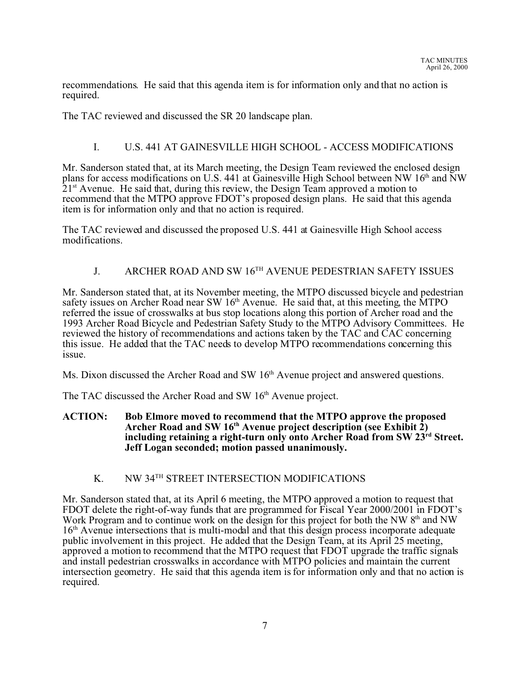recommendations. He said that this agenda item is for information only and that no action is required.

The TAC reviewed and discussed the SR 20 landscape plan.

## I. U.S. 441 AT GAINESVILLE HIGH SCHOOL - ACCESS MODIFICATIONS

Mr. Sanderson stated that, at its March meeting, the Design Team reviewed the enclosed design plans for access modifications on U.S. 441 at Gainesville High School between NW  $16<sup>th</sup>$  and NW  $21<sup>st</sup>$  Avenue. He said that, during this review, the Design Team approved a motion to recommend that the MTPO approve FDOT's proposed design plans. He said that this agenda item is for information only and that no action is required.

The TAC reviewed and discussed the proposed U.S. 441 at Gainesville High School access modifications.

## J. ARCHER ROAD AND SW 16TH AVENUE PEDESTRIAN SAFETY ISSUES

Mr. Sanderson stated that, at its November meeting, the MTPO discussed bicycle and pedestrian safety issues on Archer Road near SW  $16<sup>th</sup>$  Avenue. He said that, at this meeting, the MTPO referred the issue of crosswalks at bus stop locations along this portion of Archer road and the 1993 Archer Road Bicycle and Pedestrian Safety Study to the MTPO Advisory Committees. He reviewed the history of recommendations and actions taken by the TAC and CAC concerning this issue. He added that the TAC needs to develop MTPO recommendations concerning this issue.

Ms. Dixon discussed the Archer Road and SW 16<sup>th</sup> Avenue project and answered questions.

The TAC discussed the Archer Road and SW 16<sup>th</sup> Avenue project.

#### **ACTION: Bob Elmore moved to recommend that the MTPO approve the proposed Archer Road and SW 16th Avenue project description (see Exhibit 2) including retaining a right-turn only onto Archer Road from SW 23rd Street. Jeff Logan seconded; motion passed unanimously.**

### K. NW 34<sup>TH</sup> STREET INTERSECTION MODIFICATIONS

Mr. Sanderson stated that, at its April 6 meeting, the MTPO approved a motion to request that FDOT delete the right-of-way funds that are programmed for Fiscal Year 2000/2001 in FDOT's Work Program and to continue work on the design for this project for both the NW  $8<sup>th</sup>$  and NW 16<sup>th</sup> Avenue intersections that is multi-modal and that this design process incorporate adequate public involvement in this project. He added that the Design Team, at its April 25 meeting, approved a motion to recommend that the MTPO request that FDOT upgrade the traffic signals and install pedestrian crosswalks in accordance with MTPO policies and maintain the current intersection geometry. He said that this agenda item is for information only and that no action is required.